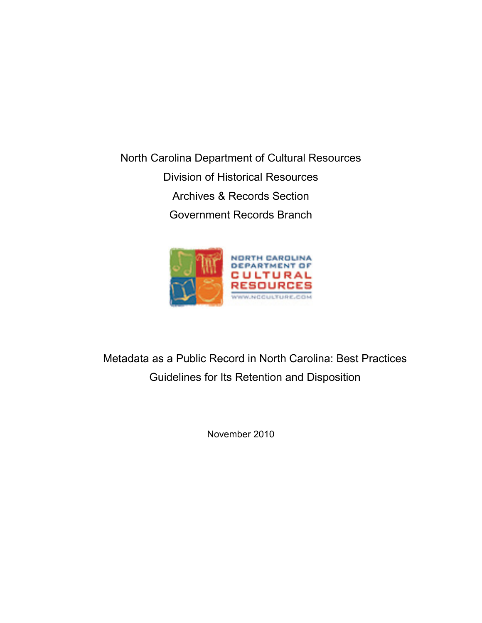North Carolina Department of Cultural Resources Division of Historical Resources Archives & Records Section Government Records Branch



Metadata as a Public Record in North Carolina: Best Practices Guidelines for Its Retention and Disposition

November 2010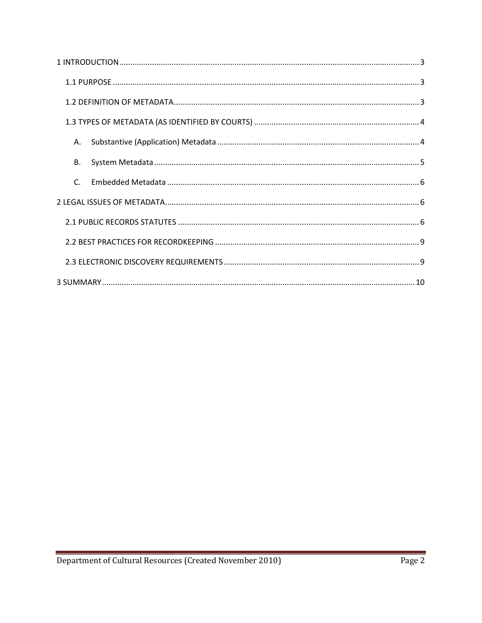| Α.           |
|--------------|
| В.           |
| $\mathsf{C}$ |
|              |
|              |
|              |
|              |
|              |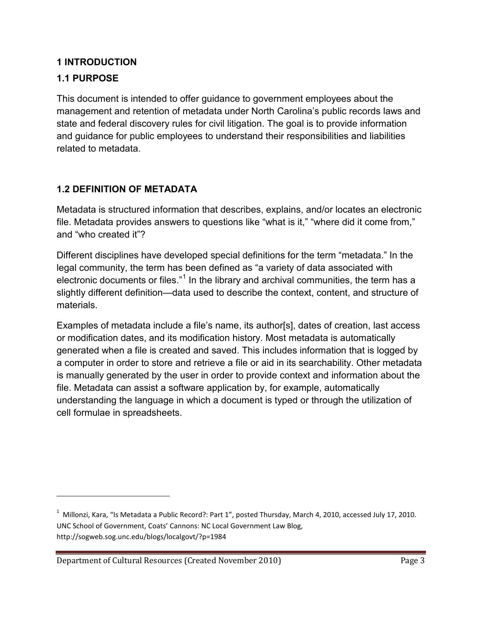# <span id="page-2-0"></span>**1 INTRODUCTION**

# <span id="page-2-1"></span>**1.1 PURPOSE**

ı

This document is intended to offer guidance to government employees about the management and retention of metadata under North Carolina's public records laws and state and federal discovery rules for civil litigation. The goal is to provide information and guidance for public employees to understand their responsibilities and liabilities related to metadata.

# <span id="page-2-2"></span>**1.2 DEFINITION OF METADATA**

Metadata is structured information that describes, explains, and/or locates an electronic file. Metadata provides answers to questions like "what is it," "where did it come from," and "who created it"?

Different disciplines have developed special definitions for the term "metadata." In the legal community, the term has been defined as "a variety of data associated with electronic documents or files."<sup>[1](#page-2-3)</sup> In the library and archival communities, the term has a slightly different definition—data used to describe the context, content, and structure of materials.

Examples of metadata include a file's name, its author[s], dates of creation, last access or modification dates, and its modification history. Most metadata is automatically generated when a file is created and saved. This includes information that is logged by a computer in order to store and retrieve a file or aid in its searchability. Other metadata is manually generated by the user in order to provide context and information about the file. Metadata can assist a software application by, for example, automatically understanding the language in which a document is typed or through the utilization of cell formulae in spreadsheets.

<span id="page-2-3"></span><sup>&</sup>lt;sup>1</sup> Millonzi, Kara, "Is Metadata a Public Record?: Part 1", posted Thursday, March 4, 2010, accessed July 17, 2010. UNC School of Government, Coats' Cannons: NC Local Government Law Blog, http://sogweb.sog.unc.edu/blogs/localgovt/?p=1984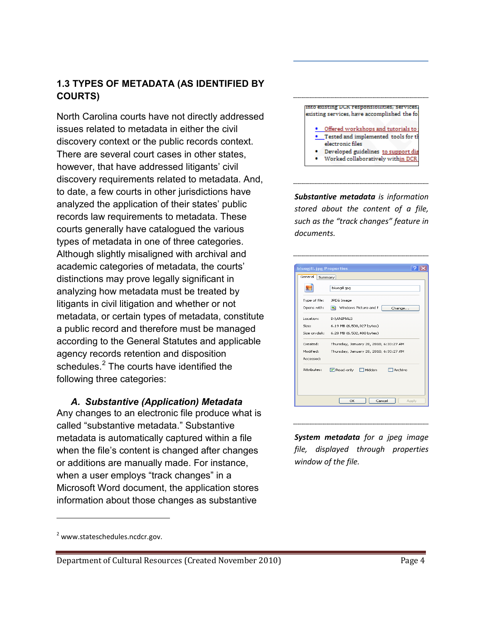## <span id="page-3-0"></span>**1.3 TYPES OF METADATA (AS IDENTIFIED BY COURTS)**

North Carolina courts have not directly addressed issues related to metadata in either the civil discovery context or the public records context. There are several court cases in other states, however, that have addressed litigants' civil discovery requirements related to metadata. And, to date, a few courts in other jurisdictions have analyzed the application of their states' public records law requirements to metadata. These courts generally have catalogued the various types of metadata in one of three categories. Although slightly misaligned with archival and academic categories of metadata, the courts' distinctions may prove legally significant in analyzing how metadata must be treated by litigants in civil litigation and whether or not metadata, or certain types of metadata, constitute a public record and therefore must be managed according to the General Statutes and applicable agency records retention and disposition schedules.<sup>[2](#page-3-2)</sup> The courts have identified the following three categories:

#### <span id="page-3-1"></span>*A. Substantive (Application) Metadata* Any changes to an electronic file produce what is called "substantive metadata." Substantive metadata is automatically captured within a file when the file's content is changed after changes or additions are manually made. For instance, when a user employs "track changes" in a Microsoft Word document, the application stores information about those changes as substantive

#### into existing DUN responsibilities, services existing services, have accomplished the fol-. Offered workshops and tutorials to Tested and implemented tools for t electronic files Developed guidelines to support dis Worked collaboratively within DCR

*Substantive metadata is information stored about the content of a file, such as the "track changes" feature in documents.* 

| General<br>Summary |                                        |
|--------------------|----------------------------------------|
|                    | bluegill, jpg                          |
| Type of file:      | JPEG Image                             |
| Opens with:        | Windows Picture and F<br>Change        |
| Location:          | D:\ANIMALS                             |
| Size:              | 6.19 MB (6,500,927 bytes)              |
| Size on disk:      | 6.20 MB (6,502,400 bytes)              |
| Created:           | Thursday, January 28, 2010, 6:33:27 AM |
| Modified:          | Thursday, January 28, 2010, 6:33:27 AM |
| Accessed:          |                                        |
| Attributes:        | Read-only<br>Hidden<br>Archive         |
|                    |                                        |

*System metadata for a jpeg image file, displayed through properties window of the file.*

ı

<span id="page-3-2"></span> $2$  www.stateschedules.ncdcr.gov.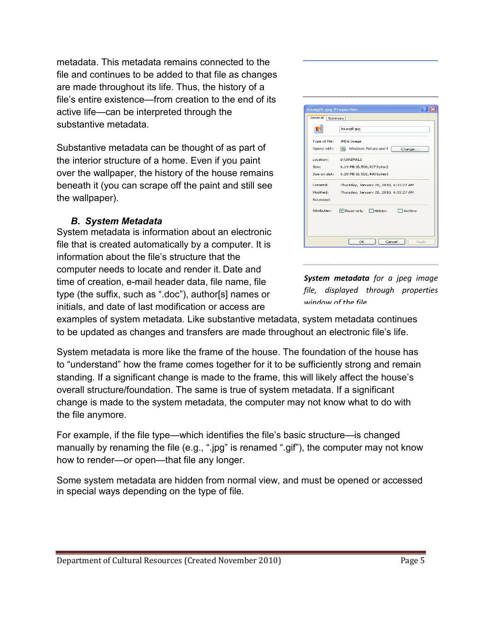metadata. This metadata remains connected to the file and continues to be added to that file as changes are made throughout its life. Thus, the history of a file's entire existence—from creation to the end of its active life—can be interpreted through the substantive metadata.

Substantive metadata can be thought of as part of the interior structure of a home. Even if you paint over the wallpaper, the history of the house remains beneath it (you can scrape off the paint and still see the wallpaper).

#### *B. System Metadata*

<span id="page-4-0"></span>System metadata is information about an electronic file that is created automatically by a computer. It is information about the file's structure that the computer needs to locate and render it. Date and time of creation, e-mail header data, file name, file type (the suffix, such as ".doc"), author[s] names or initials, and date of last modification or access are

| <b>bluegill.jpg Properties</b><br>General<br>Summary |                                                       |
|------------------------------------------------------|-------------------------------------------------------|
|                                                      |                                                       |
|                                                      | bluegill.jpg                                          |
| Type of file:                                        | JPEG Image                                            |
| Opens with:                                          | Windows Picture and F<br>Change                       |
| Location:                                            | D:\ANIMALS                                            |
| Size:                                                | 6.19 MB (6,500,927 bytes)                             |
| Size on disk:                                        | 6.20 MB (6,502,400 bytes)                             |
| Created:                                             | Thursday, January 28, 2010, 6:33:27 AM                |
| Modified:                                            | Thursday, January 28, 2010, 6:33:27 AM                |
| Accessed:                                            |                                                       |
| Attributes:                                          | <b>▽</b> Read-only<br>$\Box$ Hidden<br><b>Archive</b> |
|                                                      |                                                       |
|                                                      |                                                       |
|                                                      |                                                       |

*System metadata for a jpeg image file, displayed through properties window of the file*

examples of system metadata. Like substantive metadata, system metadata continues to be updated as changes and transfers are made throughout an electronic file's life.

System metadata is more like the frame of the house. The foundation of the house has to "understand" how the frame comes together for it to be sufficiently strong and remain standing. If a significant change is made to the frame, this will likely affect the house's overall structure/foundation. The same is true of system metadata. If a significant change is made to the system metadata, the computer may not know what to do with the file anymore.

For example, if the file type—which identifies the file's basic structure—is changed manually by renaming the file (e.g., ".jpg" is renamed ".gif"), the computer may not know how to render—or open—that file any longer.

Some system metadata are hidden from normal view, and must be opened or accessed in special ways depending on the type of file.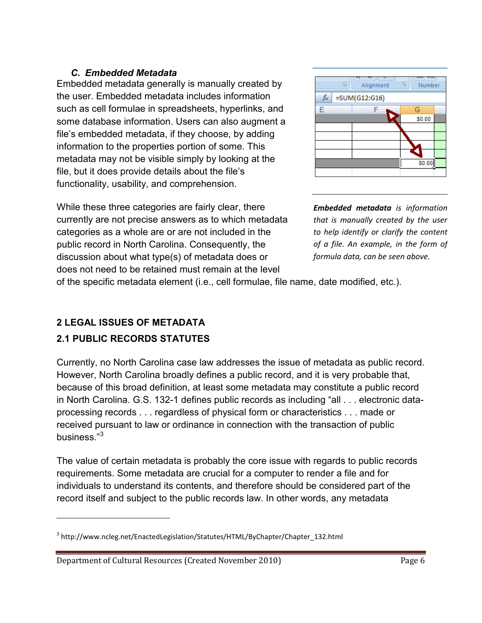#### <span id="page-5-0"></span>*C. Embedded Metadata*

Embedded metadata generally is manually created by the user. Embedded metadata includes information such as cell formulae in spreadsheets, hyperlinks, and some database information. Users can also augment a file's embedded metadata, if they choose, by adding information to the properties portion of some. This metadata may not be visible simply by looking at the file, but it does provide details about the file's functionality, usability, and comprehension.

While these three categories are fairly clear, there currently are not precise answers as to which metadata categories as a whole are or are not included in the public record in North Carolina. Consequently, the discussion about what type(s) of metadata does or does not need to be retained must remain at the level





*Embedded metadata is information that is manually created by the user to help identify or clarify the content of a file. An example, in the form of formula data, can be seen above.*

of the specific metadata element (i.e., cell formulae, file name, date modified, etc.).

# <span id="page-5-1"></span>**2 LEGAL ISSUES OF METADATA**

### <span id="page-5-2"></span>**2.1 PUBLIC RECORDS STATUTES**

ı

Currently, no North Carolina case law addresses the issue of metadata as public record. However, North Carolina broadly defines a public record, and it is very probable that, because of this broad definition, at least some metadata may constitute a public record in North Carolina. G.S. 132-1 defines public records as including "all . . . electronic dataprocessing records . . . regardless of physical form or characteristics . . . made or received pursuant to law or ordinance in connection with the transaction of public business."[3](#page-5-3)

The value of certain metadata is probably the core issue with regards to public records requirements. Some metadata are crucial for a computer to render a file and for individuals to understand its contents, and therefore should be considered part of the record itself and subject to the public records law. In other words, any metadata

Department of Cultural Resources (Created November 2010) Page 6

<span id="page-5-3"></span><sup>&</sup>lt;sup>3</sup> http://www.ncleg.net/EnactedLegislation/Statutes/HTML/ByChapter/Chapter\_132.html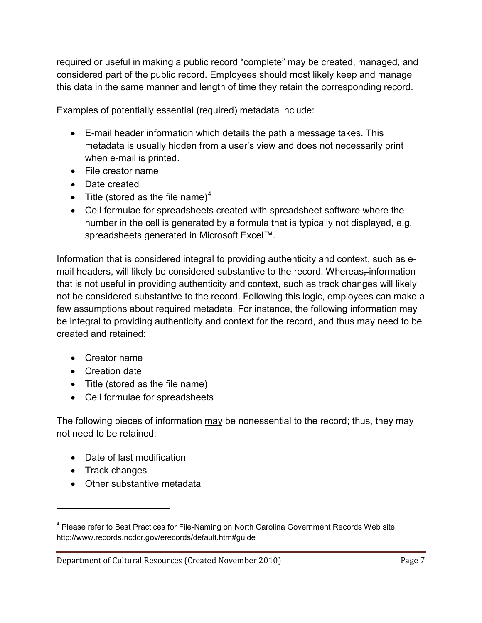required or useful in making a public record "complete" may be created, managed, and considered part of the public record. Employees should most likely keep and manage this data in the same manner and length of time they retain the corresponding record.

Examples of potentially essential (required) metadata include:

- E-mail header information which details the path a message takes. This metadata is usually hidden from a user's view and does not necessarily print when e-mail is printed.
- File creator name
- Date created
- Title (stored as the file name)<sup>[4](#page-6-0)</sup>
- Cell formulae for spreadsheets created with spreadsheet software where the number in the cell is generated by a formula that is typically not displayed, e.g. spreadsheets generated in Microsoft Excel™.

Information that is considered integral to providing authenticity and context, such as email headers, will likely be considered substantive to the record. Whereas, information that is not useful in providing authenticity and context, such as track changes will likely not be considered substantive to the record. Following this logic, employees can make a few assumptions about required metadata. For instance, the following information may be integral to providing authenticity and context for the record, and thus may need to be created and retained:

- Creator name
- Creation date
- Title (stored as the file name)
- Cell formulae for spreadsheets

The following pieces of information may be nonessential to the record; thus, they may not need to be retained:

- Date of last modification
- Track changes

l

• Other substantive metadata

<span id="page-6-0"></span><sup>&</sup>lt;sup>4</sup> Please refer to Best Practices for File-Naming on North Carolina Government Records Web site, <http://www.records.ncdcr.gov/erecords/default.htm#guide>

Department of Cultural Resources (Created November 2010) Page 7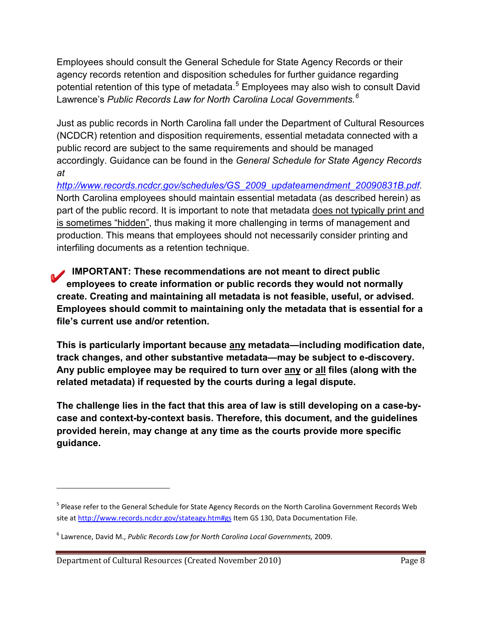Employees should consult the General Schedule for State Agency Records or their agency records retention and disposition schedules for further guidance regarding potential retention of this type of metadata.<sup>[5](#page-7-0)</sup> Employees may also wish to consult David Lawrence's *Public Records Law for North Carolina Local Governments.[6](#page-7-1)*

Just as public records in North Carolina fall under the Department of Cultural Resources (NCDCR) retention and disposition requirements, essential metadata connected with a public record are subject to the same requirements and should be managed accordingly. Guidance can be found in the *General Schedule for State Agency Records at* 

*[http://www.records.ncdcr.gov/schedules/GS\\_2009\\_updateamendment\\_20090831B.pdf.](http://www.records.ncdcr.gov/schedules/GS_2009_updateamendment_20090831B.pdf)*  North Carolina employees should maintain essential metadata (as described herein) as part of the public record. It is important to note that metadata does not typically print and is sometimes "hidden", thus making it more challenging in terms of management and production. This means that employees should not necessarily consider printing and interfiling documents as a retention technique.

**IMPORTANT: These recommendations are not meant to direct public employees to create information or public records they would not normally create. Creating and maintaining all metadata is not feasible, useful, or advised. Employees should commit to maintaining only the metadata that is essential for a file's current use and/or retention.** 

**This is particularly important because any metadata—including modification date, track changes, and other substantive metadata—may be subject to e-discovery. Any public employee may be required to turn over any or all files (along with the related metadata) if requested by the courts during a legal dispute.** 

**The challenge lies in the fact that this area of law is still developing on a case-bycase and context-by-context basis. Therefore, this document, and the guidelines provided herein, may change at any time as the courts provide more specific guidance.**

 $\overline{\phantom{0}}$ 

<span id="page-7-0"></span><sup>&</sup>lt;sup>5</sup> Please refer to the General Schedule for State Agency Records on the North Carolina Government Records Web site at<http://www.records.ncdcr.gov/stateagy.htm#gs> Item GS 130, Data Documentation File.

<span id="page-7-1"></span><sup>6</sup> Lawrence, David M., *Public Records Law for North Carolina Local Governments,* 2009.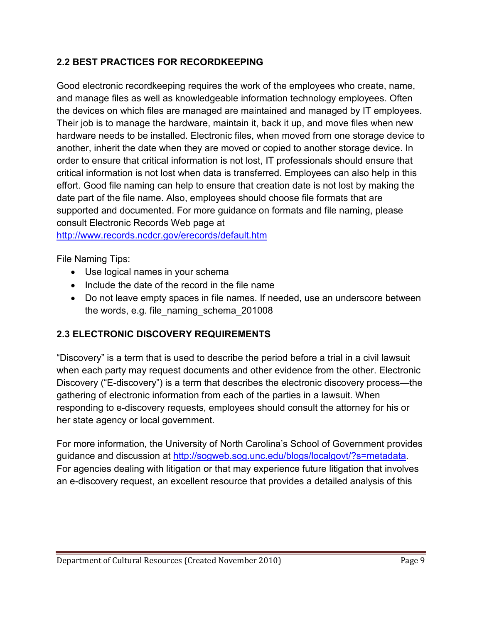## <span id="page-8-0"></span>**2.2 BEST PRACTICES FOR RECORDKEEPING**

Good electronic recordkeeping requires the work of the employees who create, name, and manage files as well as knowledgeable information technology employees. Often the devices on which files are managed are maintained and managed by IT employees. Their job is to manage the hardware, maintain it, back it up, and move files when new hardware needs to be installed. Electronic files, when moved from one storage device to another, inherit the date when they are moved or copied to another storage device. In order to ensure that critical information is not lost, IT professionals should ensure that critical information is not lost when data is transferred. Employees can also help in this effort. Good file naming can help to ensure that creation date is not lost by making the date part of the file name. Also, employees should choose file formats that are supported and documented. For more guidance on formats and file naming, please consult Electronic Records Web page at <http://www.records.ncdcr.gov/erecords/default.htm>

File Naming Tips:

- Use logical names in your schema
- Include the date of the record in the file name
- Do not leave empty spaces in file names. If needed, use an underscore between the words, e.g. file\_naming\_schema\_201008

# <span id="page-8-1"></span>**2.3 ELECTRONIC DISCOVERY REQUIREMENTS**

"Discovery" is a term that is used to describe the period before a trial in a civil lawsuit when each party may request documents and other evidence from the other. Electronic Discovery ("E-discovery") is a term that describes the electronic discovery process—the gathering of electronic information from each of the parties in a lawsuit. When responding to e-discovery requests, employees should consult the attorney for his or her state agency or local government.

For more information, the University of North Carolina's School of Government provides guidance and discussion at<http://sogweb.sog.unc.edu/blogs/localgovt/?s=metadata>. For agencies dealing with litigation or that may experience future litigation that involves an e-discovery request, an excellent resource that provides a detailed analysis of this